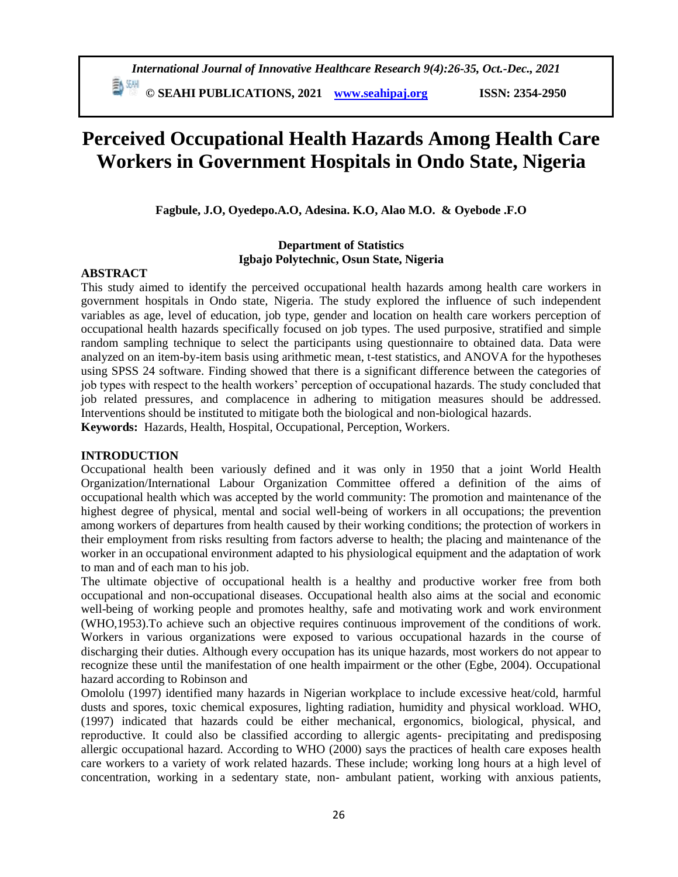**ED SEARE PUBLICATIONS, 2021** *[www.seahipaj.org](http://www.seahipaj.org/)* **ISSN: 2354-2950** 

# **Perceived Occupational Health Hazards Among Health Care Workers in Government Hospitals in Ondo State, Nigeria**

**Fagbule, J.O, Oyedepo.A.O, Adesina. K.O, Alao M.O. & Oyebode .F.O**

#### **Department of Statistics Igbajo Polytechnic, Osun State, Nigeria**

# **ABSTRACT**

This study aimed to identify the perceived occupational health hazards among health care workers in government hospitals in Ondo state, Nigeria. The study explored the influence of such independent variables as age, level of education, job type, gender and location on health care workers perception of occupational health hazards specifically focused on job types. The used purposive, stratified and simple random sampling technique to select the participants using questionnaire to obtained data. Data were analyzed on an item-by-item basis using arithmetic mean, t-test statistics, and ANOVA for the hypotheses using SPSS 24 software. Finding showed that there is a significant difference between the categories of job types with respect to the health workers' perception of occupational hazards. The study concluded that job related pressures, and complacence in adhering to mitigation measures should be addressed. Interventions should be instituted to mitigate both the biological and non-biological hazards. **Keywords:** Hazards, Health, Hospital, Occupational, Perception, Workers.

#### **INTRODUCTION**

Occupational health been variously defined and it was only in 1950 that a joint World Health Organization/International Labour Organization Committee offered a definition of the aims of occupational health which was accepted by the world community: The promotion and maintenance of the highest degree of physical, mental and social well-being of workers in all occupations; the prevention among workers of departures from health caused by their working conditions; the protection of workers in their employment from risks resulting from factors adverse to health; the placing and maintenance of the worker in an occupational environment adapted to his physiological equipment and the adaptation of work to man and of each man to his job.

The ultimate objective of occupational health is a healthy and productive worker free from both occupational and non-occupational diseases. Occupational health also aims at the social and economic well-being of working people and promotes healthy, safe and motivating work and work environment (WHO,1953).To achieve such an objective requires continuous improvement of the conditions of work. Workers in various organizations were exposed to various occupational hazards in the course of discharging their duties. Although every occupation has its unique hazards, most workers do not appear to recognize these until the manifestation of one health impairment or the other (Egbe, 2004). Occupational hazard according to Robinson and

Omololu (1997) identified many hazards in Nigerian workplace to include excessive heat/cold, harmful dusts and spores, toxic chemical exposures, lighting radiation, humidity and physical workload. WHO, (1997) indicated that hazards could be either mechanical, ergonomics, biological, physical, and reproductive. It could also be classified according to allergic agents- precipitating and predisposing allergic occupational hazard. According to WHO (2000) says the practices of health care exposes health care workers to a variety of work related hazards. These include; working long hours at a high level of concentration, working in a sedentary state, non- ambulant patient, working with anxious patients,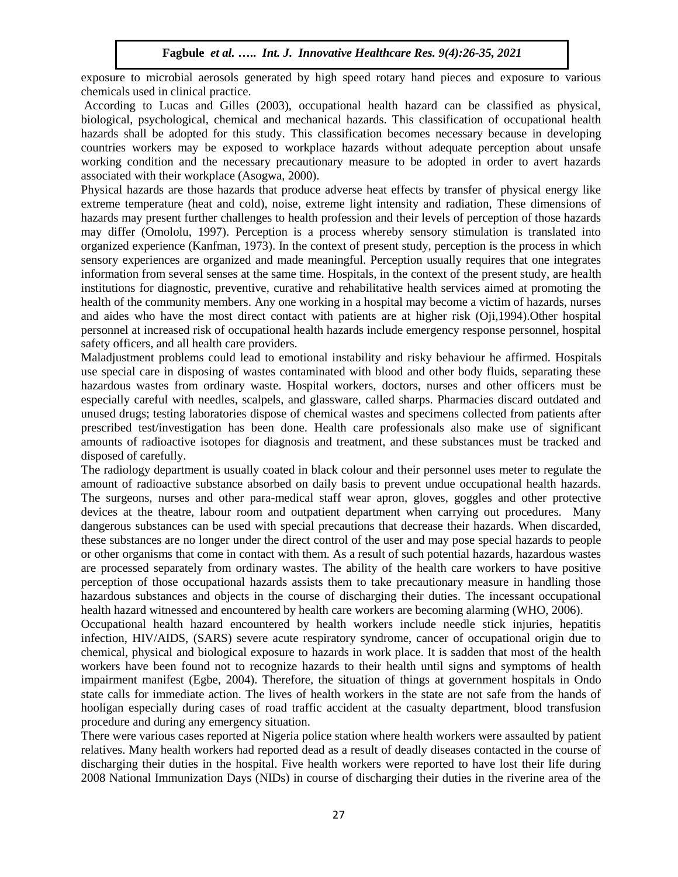exposure to microbial aerosols generated by high speed rotary hand pieces and exposure to various chemicals used in clinical practice.

According to Lucas and Gilles (2003), occupational health hazard can be classified as physical, biological, psychological, chemical and mechanical hazards. This classification of occupational health hazards shall be adopted for this study. This classification becomes necessary because in developing countries workers may be exposed to workplace hazards without adequate perception about unsafe working condition and the necessary precautionary measure to be adopted in order to avert hazards associated with their workplace (Asogwa, 2000).

Physical hazards are those hazards that produce adverse heat effects by transfer of physical energy like extreme temperature (heat and cold), noise, extreme light intensity and radiation, These dimensions of hazards may present further challenges to health profession and their levels of perception of those hazards may differ (Omololu, 1997). Perception is a process whereby sensory stimulation is translated into organized experience (Kanfman, 1973). In the context of present study, perception is the process in which sensory experiences are organized and made meaningful. Perception usually requires that one integrates information from several senses at the same time. Hospitals, in the context of the present study, are health institutions for diagnostic, preventive, curative and rehabilitative health services aimed at promoting the health of the community members. Any one working in a hospital may become a victim of hazards, nurses and aides who have the most direct contact with patients are at higher risk (Oji,1994).Other hospital personnel at increased risk of occupational health hazards include emergency response personnel, hospital safety officers, and all health care providers.

Maladjustment problems could lead to emotional instability and risky behaviour he affirmed. Hospitals use special care in disposing of wastes contaminated with blood and other body fluids, separating these hazardous wastes from ordinary waste. Hospital workers, doctors, nurses and other officers must be especially careful with needles, scalpels, and glassware, called sharps. Pharmacies discard outdated and unused drugs; testing laboratories dispose of chemical wastes and specimens collected from patients after prescribed test/investigation has been done. Health care professionals also make use of significant amounts of radioactive isotopes for diagnosis and treatment, and these substances must be tracked and disposed of carefully.

The radiology department is usually coated in black colour and their personnel uses meter to regulate the amount of radioactive substance absorbed on daily basis to prevent undue occupational health hazards. The surgeons, nurses and other para-medical staff wear apron, gloves, goggles and other protective devices at the theatre, labour room and outpatient department when carrying out procedures. Many dangerous substances can be used with special precautions that decrease their hazards. When discarded, these substances are no longer under the direct control of the user and may pose special hazards to people or other organisms that come in contact with them. As a result of such potential hazards, hazardous wastes are processed separately from ordinary wastes. The ability of the health care workers to have positive perception of those occupational hazards assists them to take precautionary measure in handling those hazardous substances and objects in the course of discharging their duties. The incessant occupational health hazard witnessed and encountered by health care workers are becoming alarming (WHO, 2006).

Occupational health hazard encountered by health workers include needle stick injuries, hepatitis infection, HIV/AIDS, (SARS) severe acute respiratory syndrome, cancer of occupational origin due to chemical, physical and biological exposure to hazards in work place. It is sadden that most of the health workers have been found not to recognize hazards to their health until signs and symptoms of health impairment manifest (Egbe, 2004). Therefore, the situation of things at government hospitals in Ondo state calls for immediate action. The lives of health workers in the state are not safe from the hands of hooligan especially during cases of road traffic accident at the casualty department, blood transfusion procedure and during any emergency situation.

There were various cases reported at Nigeria police station where health workers were assaulted by patient relatives. Many health workers had reported dead as a result of deadly diseases contacted in the course of discharging their duties in the hospital. Five health workers were reported to have lost their life during 2008 National Immunization Days (NIDs) in course of discharging their duties in the riverine area of the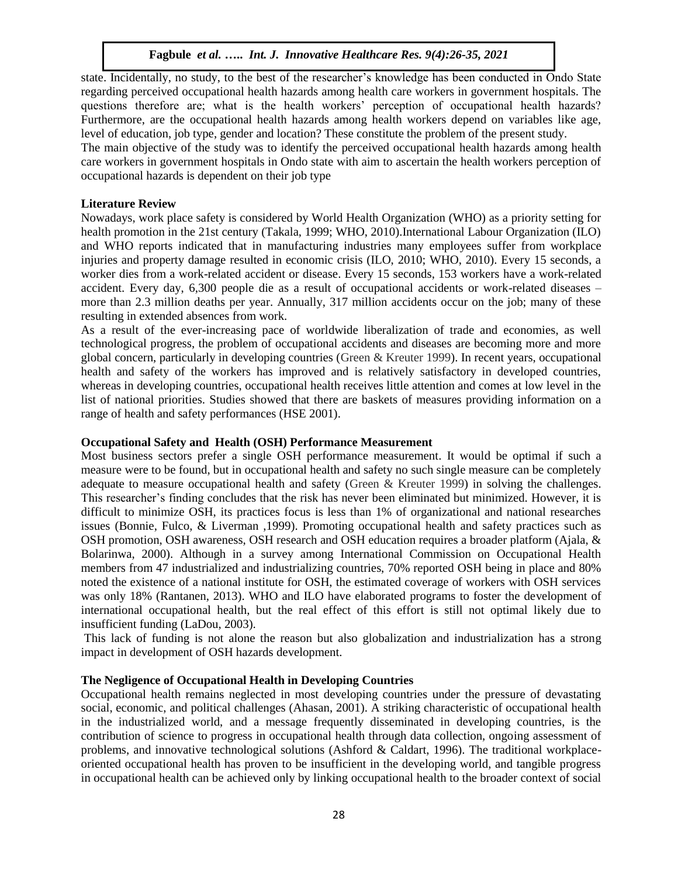state. Incidentally, no study, to the best of the researcher's knowledge has been conducted in Ondo State regarding perceived occupational health hazards among health care workers in government hospitals. The questions therefore are; what is the health workers' perception of occupational health hazards? Furthermore, are the occupational health hazards among health workers depend on variables like age, level of education, job type, gender and location? These constitute the problem of the present study. The main objective of the study was to identify the perceived occupational health hazards among health care workers in government hospitals in Ondo state with aim to ascertain the health workers perception of occupational hazards is dependent on their job type

# **Literature Review**

Nowadays, work place safety is considered by World Health Organization (WHO) as a priority setting for health promotion in the 21st century (Takala, 1999; WHO, 2010).International Labour Organization (ILO) and WHO reports indicated that in manufacturing industries many employees suffer from workplace injuries and property damage resulted in economic crisis (ILO, 2010; WHO, 2010). Every 15 seconds, a worker dies from a work-related accident or disease. Every 15 seconds, 153 workers have a work-related accident. Every day, 6,300 people die as a result of occupational accidents or work-related diseases – more than 2.3 million deaths per year. Annually, 317 million accidents occur on the job; many of these resulting in extended absences from work.

As a result of the ever-increasing pace of worldwide liberalization of trade and economies, as well technological progress, the problem of occupational accidents and diseases are becoming more and more global concern, particularly in developing countries (Green & Kreuter 1999). In recent years, occupational health and safety of the workers has improved and is relatively satisfactory in developed countries, whereas in developing countries, occupational health receives little attention and comes at low level in the list of national priorities. Studies showed that there are baskets of measures providing information on a range of health and safety performances (HSE 2001).

# **Occupational Safety and Health (OSH) Performance Measurement**

Most business sectors prefer a single OSH performance measurement. It would be optimal if such a measure were to be found, but in occupational health and safety no such single measure can be completely adequate to measure occupational health and safety (Green & Kreuter 1999) in solving the challenges. This researcher's finding concludes that the risk has never been eliminated but minimized. However, it is difficult to minimize OSH, its practices focus is less than 1% of organizational and national researches issues (Bonnie, Fulco, & Liverman ,1999). Promoting occupational health and safety practices such as OSH promotion, OSH awareness, OSH research and OSH education requires a broader platform (Ajala, & Bolarinwa, 2000). Although in a survey among International Commission on Occupational Health members from 47 industrialized and industrializing countries, 70% reported OSH being in place and 80% noted the existence of a national institute for OSH, the estimated coverage of workers with OSH services was only 18% (Rantanen, 2013). WHO and ILO have elaborated programs to foster the development of international occupational health, but the real effect of this effort is still not optimal likely due to insufficient funding (LaDou, 2003).

This lack of funding is not alone the reason but also globalization and industrialization has a strong impact in development of OSH hazards development.

# **The Negligence of Occupational Health in Developing Countries**

Occupational health remains neglected in most developing countries under the pressure of devastating social, economic, and political challenges (Ahasan, 2001). A striking characteristic of occupational health in the industrialized world, and a message frequently disseminated in developing countries, is the contribution of science to progress in occupational health through data collection, ongoing assessment of problems, and innovative technological solutions (Ashford & Caldart, 1996). The traditional workplaceoriented occupational health has proven to be insufficient in the developing world, and tangible progress in occupational health can be achieved only by linking occupational health to the broader context of social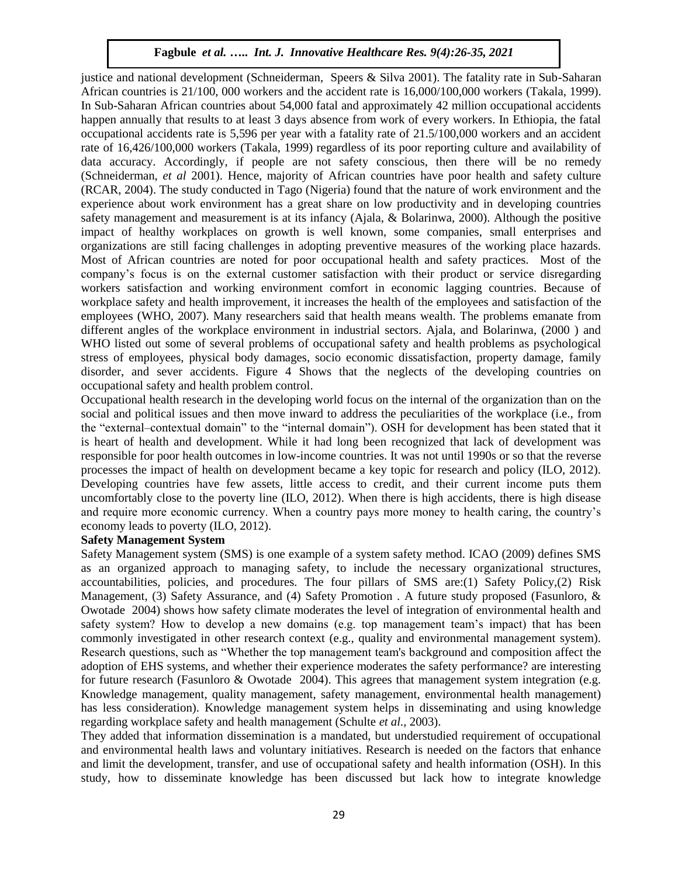justice and national development (Schneiderman, Speers & Silva 2001). The fatality rate in Sub-Saharan African countries is 21/100, 000 workers and the accident rate is 16,000/100,000 workers (Takala, 1999). In Sub-Saharan African countries about 54,000 fatal and approximately 42 million occupational accidents happen annually that results to at least 3 days absence from work of every workers. In Ethiopia, the fatal occupational accidents rate is 5,596 per year with a fatality rate of 21.5/100,000 workers and an accident rate of 16,426/100,000 workers (Takala, 1999) regardless of its poor reporting culture and availability of data accuracy. Accordingly, if people are not safety conscious, then there will be no remedy (Schneiderman, *et al* 2001). Hence, majority of African countries have poor health and safety culture (RCAR, 2004). The study conducted in Tago (Nigeria) found that the nature of work environment and the experience about work environment has a great share on low productivity and in developing countries safety management and measurement is at its infancy (Ajala, & Bolarinwa, 2000). Although the positive impact of healthy workplaces on growth is well known, some companies, small enterprises and organizations are still facing challenges in adopting preventive measures of the working place hazards. Most of African countries are noted for poor occupational health and safety practices. Most of the company's focus is on the external customer satisfaction with their product or service disregarding workers satisfaction and working environment comfort in economic lagging countries. Because of workplace safety and health improvement, it increases the health of the employees and satisfaction of the employees (WHO, 2007). Many researchers said that health means wealth. The problems emanate from different angles of the workplace environment in industrial sectors. Ajala, and Bolarinwa, (2000 ) and WHO listed out some of several problems of occupational safety and health problems as psychological stress of employees, physical body damages, socio economic dissatisfaction, property damage, family disorder, and sever accidents. Figure 4 Shows that the neglects of the developing countries on occupational safety and health problem control.

Occupational health research in the developing world focus on the internal of the organization than on the social and political issues and then move inward to address the peculiarities of the workplace (i.e., from the "external–contextual domain" to the "internal domain"). OSH for development has been stated that it is heart of health and development. While it had long been recognized that lack of development was responsible for poor health outcomes in low-income countries. It was not until 1990s or so that the reverse processes the impact of health on development became a key topic for research and policy (ILO, 2012). Developing countries have few assets, little access to credit, and their current income puts them uncomfortably close to the poverty line (ILO, 2012). When there is high accidents, there is high disease and require more economic currency. When a country pays more money to health caring, the country's economy leads to poverty (ILO, 2012).

#### **Safety Management System**

Safety Management system (SMS) is one example of a system safety method. ICAO (2009) defines SMS as an organized approach to managing safety, to include the necessary organizational structures, accountabilities, policies, and procedures. The four pillars of SMS are:(1) Safety Policy,(2) Risk Management, (3) Safety Assurance, and (4) Safety Promotion . A future study proposed (Fasunloro, & Owotade 2004) shows how safety climate moderates the level of integration of environmental health and safety system? How to develop a new domains (e.g. top management team's impact) that has been commonly investigated in other research context (e.g., quality and environmental management system). Research questions, such as "Whether the top management team's background and composition affect the adoption of EHS systems, and whether their experience moderates the safety performance? are interesting for future research (Fasunloro & Owotade 2004). This agrees that management system integration (e.g. Knowledge management, quality management, safety management, environmental health management) has less consideration). Knowledge management system helps in disseminating and using knowledge regarding workplace safety and health management (Schulte *et al.*, 2003).

They added that information dissemination is a mandated, but understudied requirement of occupational and environmental health laws and voluntary initiatives. Research is needed on the factors that enhance and limit the development, transfer, and use of occupational safety and health information (OSH). In this study, how to disseminate knowledge has been discussed but lack how to integrate knowledge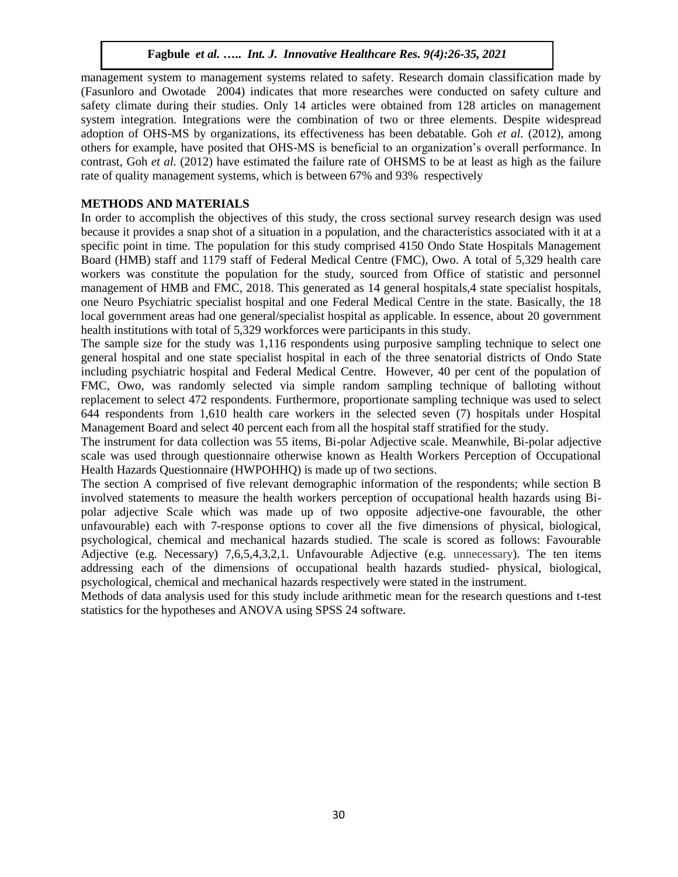management system to management systems related to safety. Research domain classification made by (Fasunloro and Owotade 2004) indicates that more researches were conducted on safety culture and safety climate during their studies. Only 14 articles were obtained from 128 articles on management system integration. Integrations were the combination of two or three elements. Despite widespread adoption of OHS-MS by organizations, its effectiveness has been debatable. Goh *et al.* (2012), among others for example, have posited that OHS-MS is beneficial to an organization's overall performance. In contrast, Goh *et al.* (2012) have estimated the failure rate of OHSMS to be at least as high as the failure rate of quality management systems, which is between 67% and 93% respectively

# **METHODS AND MATERIALS**

In order to accomplish the objectives of this study, the cross sectional survey research design was used because it provides a snap shot of a situation in a population, and the characteristics associated with it at a specific point in time. The population for this study comprised 4150 Ondo State Hospitals Management Board (HMB) staff and 1179 staff of Federal Medical Centre (FMC), Owo. A total of 5,329 health care workers was constitute the population for the study, sourced from Office of statistic and personnel management of HMB and FMC, 2018. This generated as 14 general hospitals, 4 state specialist hospitals, one Neuro Psychiatric specialist hospital and one Federal Medical Centre in the state. Basically, the 18 local government areas had one general/specialist hospital as applicable. In essence, about 20 government health institutions with total of 5,329 workforces were participants in this study.

The sample size for the study was 1,116 respondents using purposive sampling technique to select one general hospital and one state specialist hospital in each of the three senatorial districts of Ondo State including psychiatric hospital and Federal Medical Centre. However, 40 per cent of the population of FMC, Owo, was randomly selected via simple random sampling technique of balloting without replacement to select 472 respondents. Furthermore, proportionate sampling technique was used to select 644 respondents from 1,610 health care workers in the selected seven (7) hospitals under Hospital Management Board and select 40 percent each from all the hospital staff stratified for the study.

The instrument for data collection was 55 items, Bi-polar Adjective scale. Meanwhile, Bi-polar adjective scale was used through questionnaire otherwise known as Health Workers Perception of Occupational Health Hazards Questionnaire (HWPOHHQ) is made up of two sections.

The section A comprised of five relevant demographic information of the respondents; while section B involved statements to measure the health workers perception of occupational health hazards using Bipolar adjective Scale which was made up of two opposite adjective-one favourable, the other unfavourable) each with 7-response options to cover all the five dimensions of physical, biological, psychological, chemical and mechanical hazards studied. The scale is scored as follows: Favourable Adjective (e.g. Necessary) 7,6,5,4,3,2,1. Unfavourable Adjective (e.g. unnecessary). The ten items addressing each of the dimensions of occupational health hazards studied- physical, biological, psychological, chemical and mechanical hazards respectively were stated in the instrument.

Methods of data analysis used for this study include arithmetic mean for the research questions and t-test statistics for the hypotheses and ANOVA using SPSS 24 software.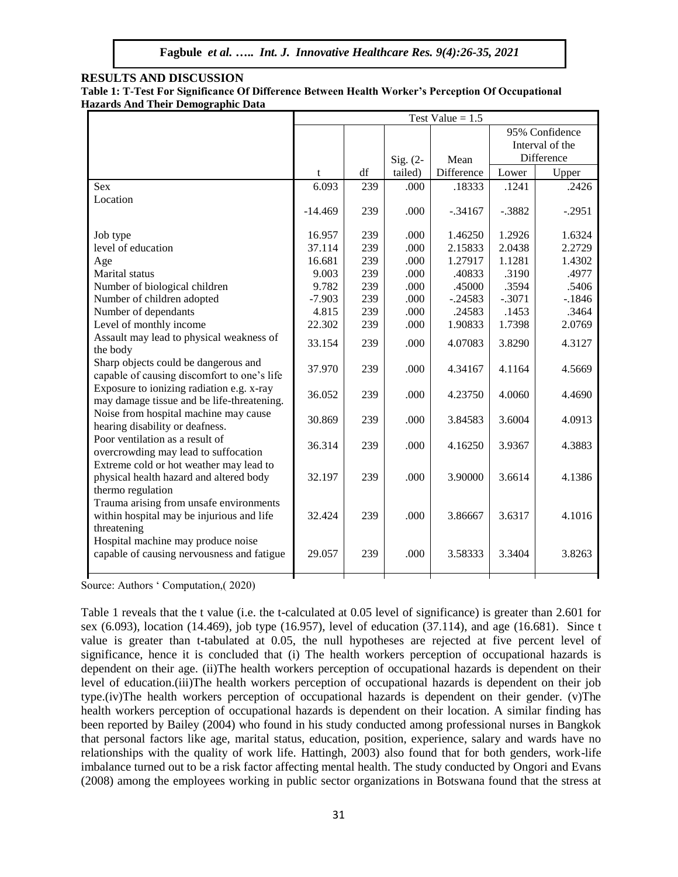#### **RESULTS AND DISCUSSION**

| Table 1: T-Test For Significance Of Difference Between Health Worker's Perception Of Occupational |  |  |
|---------------------------------------------------------------------------------------------------|--|--|
| <b>Hazards And Their Demographic Data</b>                                                         |  |  |

|                                                                                                         | Test Value $= 1.5$ |     |             |            |          |                                   |
|---------------------------------------------------------------------------------------------------------|--------------------|-----|-------------|------------|----------|-----------------------------------|
|                                                                                                         |                    |     |             |            |          | 95% Confidence<br>Interval of the |
|                                                                                                         |                    |     | Sig. $(2 -$ | Mean       |          | Difference                        |
|                                                                                                         | t                  | df  | tailed)     | Difference | Lower    | Upper                             |
| <b>Sex</b>                                                                                              | 6.093              | 239 | .000        | .18333     | .1241    | .2426                             |
| Location                                                                                                | $-14.469$          | 239 | .000        | $-.34167$  | $-.3882$ | $-.2951$                          |
| Job type                                                                                                | 16.957             | 239 | .000        | 1.46250    | 1.2926   | 1.6324                            |
| level of education                                                                                      | 37.114             | 239 | .000        | 2.15833    | 2.0438   | 2.2729                            |
| Age                                                                                                     | 16.681             | 239 | .000        | 1.27917    | 1.1281   | 1.4302                            |
| Marital status                                                                                          | 9.003              | 239 | .000        | .40833     | .3190    | .4977                             |
| Number of biological children                                                                           | 9.782              | 239 | .000        | .45000     | .3594    | .5406                             |
| Number of children adopted                                                                              | $-7.903$           | 239 | .000        | $-.24583$  | $-.3071$ | $-1846$                           |
| Number of dependants                                                                                    | 4.815              | 239 | .000        | .24583     | .1453    | .3464                             |
| Level of monthly income                                                                                 | 22.302             | 239 | .000        | 1.90833    | 1.7398   | 2.0769                            |
| Assault may lead to physical weakness of<br>the body                                                    | 33.154             | 239 | .000        | 4.07083    | 3.8290   | 4.3127                            |
| Sharp objects could be dangerous and<br>capable of causing discomfort to one's life                     | 37.970             | 239 | .000        | 4.34167    | 4.1164   | 4.5669                            |
| Exposure to ionizing radiation e.g. x-ray<br>may damage tissue and be life-threatening.                 | 36.052             | 239 | .000        | 4.23750    | 4.0060   | 4.4690                            |
| Noise from hospital machine may cause<br>hearing disability or deafness.                                | 30.869             | 239 | .000        | 3.84583    | 3.6004   | 4.0913                            |
| Poor ventilation as a result of<br>overcrowding may lead to suffocation                                 | 36.314             | 239 | .000        | 4.16250    | 3.9367   | 4.3883                            |
| Extreme cold or hot weather may lead to<br>physical health hazard and altered body<br>thermo regulation | 32.197             | 239 | .000        | 3.90000    | 3.6614   | 4.1386                            |
| Trauma arising from unsafe environments<br>within hospital may be injurious and life<br>threatening     | 32.424             | 239 | .000        | 3.86667    | 3.6317   | 4.1016                            |
| Hospital machine may produce noise<br>capable of causing nervousness and fatigue                        | 29.057             | 239 | .000        | 3.58333    | 3.3404   | 3.8263                            |
|                                                                                                         |                    |     |             |            |          |                                   |

Source: Authors ' Computation,( 2020)

Table 1 reveals that the t value (i.e. the t-calculated at 0.05 level of significance) is greater than 2.601 for sex (6.093), location (14.469), job type (16.957), level of education (37.114), and age (16.681). Since t value is greater than t-tabulated at 0.05, the null hypotheses are rejected at five percent level of significance, hence it is concluded that (i) The health workers perception of occupational hazards is dependent on their age. (ii)The health workers perception of occupational hazards is dependent on their level of education.(iii)The health workers perception of occupational hazards is dependent on their job type.(iv)The health workers perception of occupational hazards is dependent on their gender. (v)The health workers perception of occupational hazards is dependent on their location. A similar finding has been reported by Bailey (2004) who found in his study conducted among professional nurses in Bangkok that personal factors like age, marital status, education, position, experience, salary and wards have no relationships with the quality of work life. Hattingh, 2003) also found that for both genders, work-life imbalance turned out to be a risk factor affecting mental health. The study conducted by Ongori and Evans (2008) among the employees working in public sector organizations in Botswana found that the stress at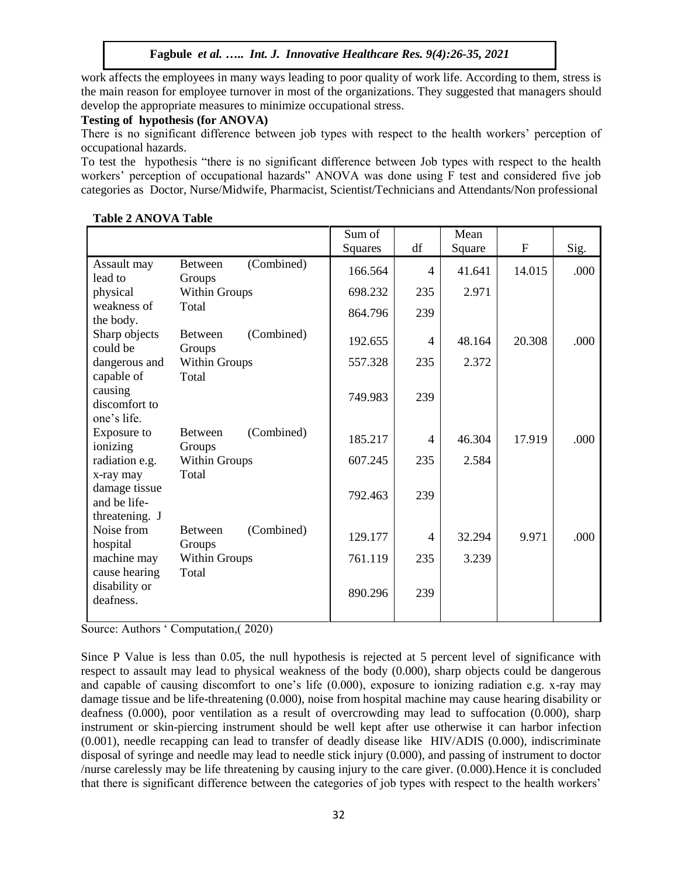work affects the employees in many ways leading to poor quality of work life. According to them, stress is the main reason for employee turnover in most of the organizations. They suggested that managers should develop the appropriate measures to minimize occupational stress.

### **Testing of hypothesis (for ANOVA)**

There is no significant difference between job types with respect to the health workers' perception of occupational hazards.

To test the hypothesis "there is no significant difference between Job types with respect to the health workers' perception of occupational hazards" ANOVA was done using F test and considered five job categories as Doctor, Nurse/Midwife, Pharmacist, Scientist/Technicians and Attendants/Non professional

|                                                 |                                        | Sum of  |                          | Mean   |             |      |
|-------------------------------------------------|----------------------------------------|---------|--------------------------|--------|-------------|------|
|                                                 |                                        | Squares | df                       | Square | $\mathbf F$ | Sig. |
| Assault may<br>lead to                          | (Combined)<br><b>Between</b><br>Groups | 166.564 | 4                        | 41.641 | 14.015      | .000 |
| physical                                        | Within Groups                          | 698.232 | 235                      | 2.971  |             |      |
| weakness of<br>the body.                        | Total                                  | 864.796 | 239                      |        |             |      |
| Sharp objects<br>could be                       | (Combined)<br><b>Between</b><br>Groups | 192.655 | 4                        | 48.164 | 20.308      | .000 |
| dangerous and<br>capable of                     | Within Groups<br>Total                 | 557.328 | 235                      | 2.372  |             |      |
| causing<br>discomfort to<br>one's life.         |                                        | 749.983 | 239                      |        |             |      |
| Exposure to<br>ionizing                         | (Combined)<br><b>Between</b><br>Groups | 185.217 | $\overline{\mathcal{A}}$ | 46.304 | 17.919      | .000 |
| radiation e.g.<br>x-ray may                     | Within Groups<br>Total                 | 607.245 | 235                      | 2.584  |             |      |
| damage tissue<br>and be life-<br>threatening. J |                                        | 792.463 | 239                      |        |             |      |
| Noise from<br>hospital                          | (Combined)<br><b>Between</b><br>Groups | 129.177 | 4                        | 32.294 | 9.971       | .000 |
| machine may                                     | Within Groups                          | 761.119 | 235                      | 3.239  |             |      |
| cause hearing<br>disability or<br>deafness.     | Total                                  | 890.296 | 239                      |        |             |      |

**Table 2 ANOVA Table**

Source: Authors ' Computation,( 2020)

Since P Value is less than 0.05, the null hypothesis is rejected at 5 percent level of significance with respect to assault may lead to physical weakness of the body (0.000), sharp objects could be dangerous and capable of causing discomfort to one's life (0.000), exposure to ionizing radiation e.g. x-ray may damage tissue and be life-threatening (0.000), noise from hospital machine may cause hearing disability or deafness (0.000), poor ventilation as a result of overcrowding may lead to suffocation (0.000), sharp instrument or skin-piercing instrument should be well kept after use otherwise it can harbor infection (0.001), needle recapping can lead to transfer of deadly disease like HIV/ADIS (0.000), indiscriminate disposal of syringe and needle may lead to needle stick injury (0.000), and passing of instrument to doctor /nurse carelessly may be life threatening by causing injury to the care giver. (0.000).Hence it is concluded that there is significant difference between the categories of job types with respect to the health workers'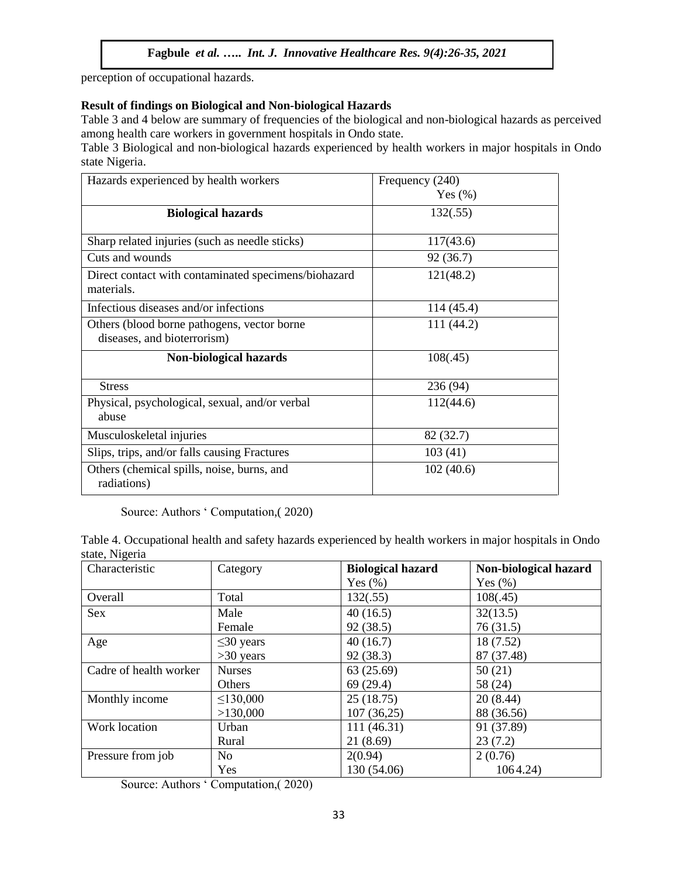perception of occupational hazards.

# **Result of findings on Biological and Non-biological Hazards**

Table 3 and 4 below are summary of frequencies of the biological and non-biological hazards as perceived among health care workers in government hospitals in Ondo state.

Table 3 Biological and non-biological hazards experienced by health workers in major hospitals in Ondo state Nigeria.

| Hazards experienced by health workers                                      | Frequency (240)<br>Yes $(\%)$ |
|----------------------------------------------------------------------------|-------------------------------|
| <b>Biological hazards</b>                                                  | 132(.55)                      |
| Sharp related injuries (such as needle sticks)                             | 117(43.6)                     |
| Cuts and wounds                                                            | 92 (36.7)                     |
| Direct contact with contaminated specimens/biohazard<br>materials.         | 121(48.2)                     |
| Infectious diseases and/or infections                                      | 114 (45.4)                    |
| Others (blood borne pathogens, vector borne<br>diseases, and bioterrorism) | 111 (44.2)                    |
| Non-biological hazards                                                     | 108(.45)                      |
| <b>Stress</b>                                                              | 236 (94)                      |
| Physical, psychological, sexual, and/or verbal<br>abuse                    | 112(44.6)                     |
| Musculoskeletal injuries                                                   | 82 (32.7)                     |
| Slips, trips, and/or falls causing Fractures                               | 103(41)                       |
| Others (chemical spills, noise, burns, and<br>radiations)                  | 102(40.6)                     |

Source: Authors ' Computation,( 2020)

Table 4. Occupational health and safety hazards experienced by health workers in major hospitals in Ondo state, Nigeria

| Characteristic         | Category        | <b>Biological hazard</b> | Non-biological hazard |
|------------------------|-----------------|--------------------------|-----------------------|
|                        |                 | Yes $(\% )$              | Yes $(\% )$           |
| Overall                | Total           | 132(.55)                 | 108(.45)              |
| <b>Sex</b>             | Male            | 40(16.5)                 | 32(13.5)              |
|                        | Female          | 92(38.5)                 | 76(31.5)              |
| Age                    | $\leq$ 30 years | 40(16.7)                 | 18 (7.52)             |
|                        | $>30$ years     | 92(38.3)                 | 87 (37.48)            |
| Cadre of health worker | <b>Nurses</b>   | 63(25.69)                | 50(21)                |
|                        | Others          | 69(29.4)                 | 58 (24)               |
| Monthly income         | $\leq$ 130,000  | 25(18.75)                | 20(8.44)              |
|                        | >130,000        | 107(36,25)               | 88 (36.56)            |
| Work location          | Urban           | 111(46.31)               | 91 (37.89)            |
|                        | Rural           | 21(8.69)                 | 23(7.2)               |
| Pressure from job      | N <sub>0</sub>  | 2(0.94)                  | 2(0.76)               |
|                        | Yes             | 130 (54.06)              | 1064.24)              |

Source: Authors ' Computation,( 2020)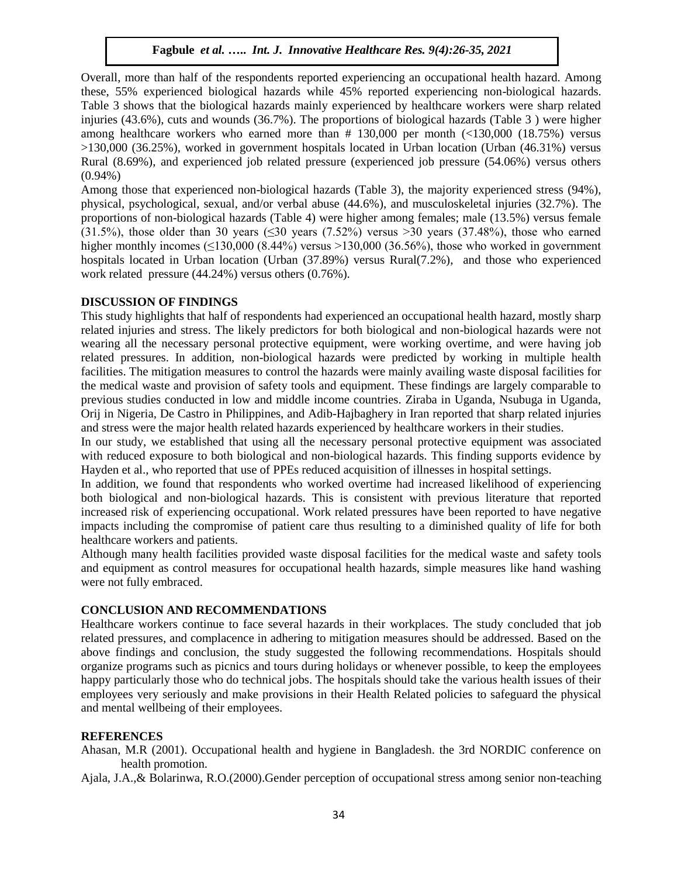Overall, more than half of the respondents reported experiencing an occupational health hazard. Among these, 55% experienced biological hazards while 45% reported experiencing non-biological hazards. Table 3 shows that the biological hazards mainly experienced by healthcare workers were sharp related injuries (43.6%), cuts and wounds (36.7%). The proportions of biological hazards (Table 3 ) were higher among healthcare workers who earned more than  $# 130,000$  per month  $\left( \frac{130,000}{18.75\%} \right)$  versus >130,000 (36.25%), worked in government hospitals located in Urban location (Urban (46.31%) versus Rural (8.69%), and experienced job related pressure (experienced job pressure (54.06%) versus others (0.94%)

Among those that experienced non-biological hazards (Table 3), the majority experienced stress (94%), physical, psychological, sexual, and/or verbal abuse (44.6%), and musculoskeletal injuries (32.7%). The proportions of non-biological hazards (Table 4) were higher among females; male (13.5%) versus female (31.5%), those older than 30 years ( $\leq 30$  years (7.52%) versus >30 years (37.48%), those who earned higher monthly incomes  $(\leq 130,000 (8.44\%)$  versus  $> 130,000 (36.56\%)$ , those who worked in government hospitals located in Urban location (Urban (37.89%) versus Rural(7.2%), and those who experienced work related pressure (44.24%) versus others (0.76%).

#### **DISCUSSION OF FINDINGS**

This study highlights that half of respondents had experienced an occupational health hazard, mostly sharp related injuries and stress. The likely predictors for both biological and non-biological hazards were not wearing all the necessary personal protective equipment, were working overtime, and were having job related pressures. In addition, non-biological hazards were predicted by working in multiple health facilities. The mitigation measures to control the hazards were mainly availing waste disposal facilities for the medical waste and provision of safety tools and equipment. These findings are largely comparable to previous studies conducted in low and middle income countries. Ziraba in Uganda, Nsubuga in Uganda, Orij in Nigeria, De Castro in Philippines, and Adib-Hajbaghery in Iran reported that sharp related injuries and stress were the major health related hazards experienced by healthcare workers in their studies.

In our study, we established that using all the necessary personal protective equipment was associated with reduced exposure to both biological and non-biological hazards. This finding supports evidence by Hayden et al., who reported that use of PPEs reduced acquisition of illnesses in hospital settings.

In addition, we found that respondents who worked overtime had increased likelihood of experiencing both biological and non-biological hazards. This is consistent with previous literature that reported increased risk of experiencing occupational. Work related pressures have been reported to have negative impacts including the compromise of patient care thus resulting to a diminished quality of life for both healthcare workers and patients.

Although many health facilities provided waste disposal facilities for the medical waste and safety tools and equipment as control measures for occupational health hazards, simple measures like hand washing were not fully embraced.

#### **CONCLUSION AND RECOMMENDATIONS**

Healthcare workers continue to face several hazards in their workplaces. The study concluded that job related pressures, and complacence in adhering to mitigation measures should be addressed. Based on the above findings and conclusion, the study suggested the following recommendations. Hospitals should organize programs such as picnics and tours during holidays or whenever possible, to keep the employees happy particularly those who do technical jobs. The hospitals should take the various health issues of their employees very seriously and make provisions in their Health Related policies to safeguard the physical and mental wellbeing of their employees.

# **REFERENCES**

Ahasan, M.R (2001). Occupational health and hygiene in Bangladesh. the 3rd NORDIC conference on health promotion.

Ajala, J.A.,& Bolarinwa, R.O.(2000).Gender perception of occupational stress among senior non-teaching